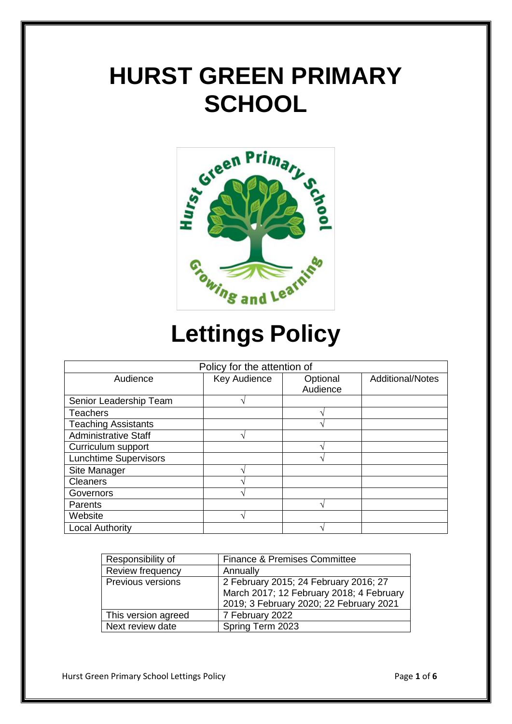# **HURST GREEN PRIMARY SCHOOL**



# **Lettings Policy**

| Policy for the attention of  |              |          |                         |  |
|------------------------------|--------------|----------|-------------------------|--|
| Audience                     | Key Audience | Optional | <b>Additional/Notes</b> |  |
|                              |              | Audience |                         |  |
| Senior Leadership Team       |              |          |                         |  |
| <b>Teachers</b>              |              |          |                         |  |
| <b>Teaching Assistants</b>   |              |          |                         |  |
| <b>Administrative Staff</b>  | 1            |          |                         |  |
| Curriculum support           |              |          |                         |  |
| <b>Lunchtime Supervisors</b> |              |          |                         |  |
| Site Manager                 |              |          |                         |  |
| <b>Cleaners</b>              |              |          |                         |  |
| Governors                    |              |          |                         |  |
| Parents                      |              |          |                         |  |
| Website                      | 1            |          |                         |  |
| <b>Local Authority</b>       |              |          |                         |  |

| Responsibility of   | <b>Finance &amp; Premises Committee</b>  |
|---------------------|------------------------------------------|
| Review frequency    | Annually                                 |
| Previous versions   | 2 February 2015; 24 February 2016; 27    |
|                     | March 2017; 12 February 2018; 4 February |
|                     | 2019; 3 February 2020; 22 February 2021  |
| This version agreed | 7 February 2022                          |
| Next review date    | Spring Term 2023                         |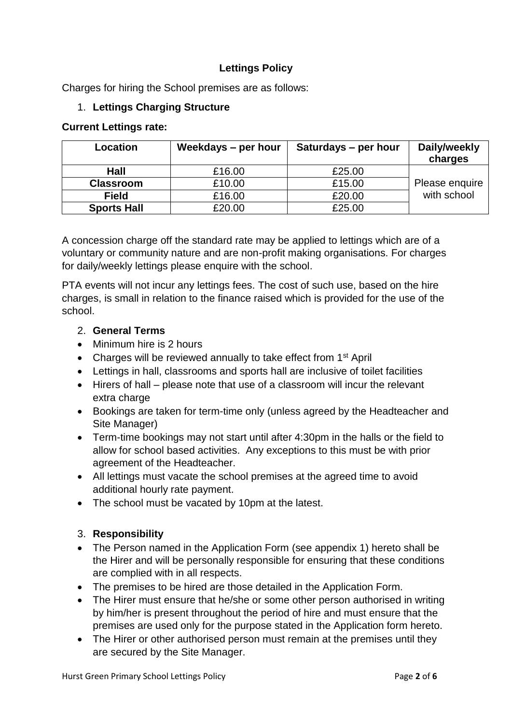# **Lettings Policy**

Charges for hiring the School premises are as follows:

## 1. **Lettings Charging Structure**

#### **Current Lettings rate:**

| Location           | Weekdays - per hour | Saturdays – per hour | Daily/weekly<br>charges |
|--------------------|---------------------|----------------------|-------------------------|
| Hall               | £16.00              | £25.00               |                         |
| <b>Classroom</b>   | £10.00              | £15.00               | Please enquire          |
| <b>Field</b>       | £16.00              | £20.00               | with school             |
| <b>Sports Hall</b> | £20.00              | £25.00               |                         |

A concession charge off the standard rate may be applied to lettings which are of a voluntary or community nature and are non-profit making organisations. For charges for daily/weekly lettings please enquire with the school.

PTA events will not incur any lettings fees. The cost of such use, based on the hire charges, is small in relation to the finance raised which is provided for the use of the school.

## 2. **General Terms**

- Minimum hire is 2 hours
- Charges will be reviewed annually to take effect from 1<sup>st</sup> April
- Lettings in hall, classrooms and sports hall are inclusive of toilet facilities
- Hirers of hall please note that use of a classroom will incur the relevant extra charge
- Bookings are taken for term-time only (unless agreed by the Headteacher and Site Manager)
- Term-time bookings may not start until after 4:30pm in the halls or the field to allow for school based activities. Any exceptions to this must be with prior agreement of the Headteacher.
- All lettings must vacate the school premises at the agreed time to avoid additional hourly rate payment.
- The school must be vacated by 10pm at the latest.

## 3. **Responsibility**

- The Person named in the Application Form (see appendix 1) hereto shall be the Hirer and will be personally responsible for ensuring that these conditions are complied with in all respects.
- The premises to be hired are those detailed in the Application Form.
- The Hirer must ensure that he/she or some other person authorised in writing by him/her is present throughout the period of hire and must ensure that the premises are used only for the purpose stated in the Application form hereto.
- The Hirer or other authorised person must remain at the premises until they are secured by the Site Manager.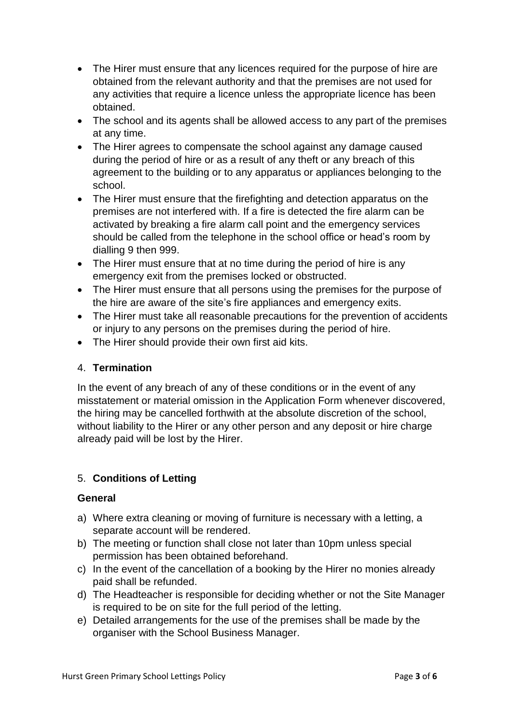- The Hirer must ensure that any licences required for the purpose of hire are obtained from the relevant authority and that the premises are not used for any activities that require a licence unless the appropriate licence has been obtained.
- The school and its agents shall be allowed access to any part of the premises at any time.
- The Hirer agrees to compensate the school against any damage caused during the period of hire or as a result of any theft or any breach of this agreement to the building or to any apparatus or appliances belonging to the school.
- The Hirer must ensure that the firefighting and detection apparatus on the premises are not interfered with. If a fire is detected the fire alarm can be activated by breaking a fire alarm call point and the emergency services should be called from the telephone in the school office or head's room by dialling 9 then 999.
- The Hirer must ensure that at no time during the period of hire is any emergency exit from the premises locked or obstructed.
- The Hirer must ensure that all persons using the premises for the purpose of the hire are aware of the site's fire appliances and emergency exits.
- The Hirer must take all reasonable precautions for the prevention of accidents or injury to any persons on the premises during the period of hire.
- The Hirer should provide their own first aid kits.

# 4. **Termination**

In the event of any breach of any of these conditions or in the event of any misstatement or material omission in the Application Form whenever discovered, the hiring may be cancelled forthwith at the absolute discretion of the school, without liability to the Hirer or any other person and any deposit or hire charge already paid will be lost by the Hirer.

# 5. **Conditions of Letting**

# **General**

- a) Where extra cleaning or moving of furniture is necessary with a letting, a separate account will be rendered.
- b) The meeting or function shall close not later than 10pm unless special permission has been obtained beforehand.
- c) In the event of the cancellation of a booking by the Hirer no monies already paid shall be refunded.
- d) The Headteacher is responsible for deciding whether or not the Site Manager is required to be on site for the full period of the letting.
- e) Detailed arrangements for the use of the premises shall be made by the organiser with the School Business Manager.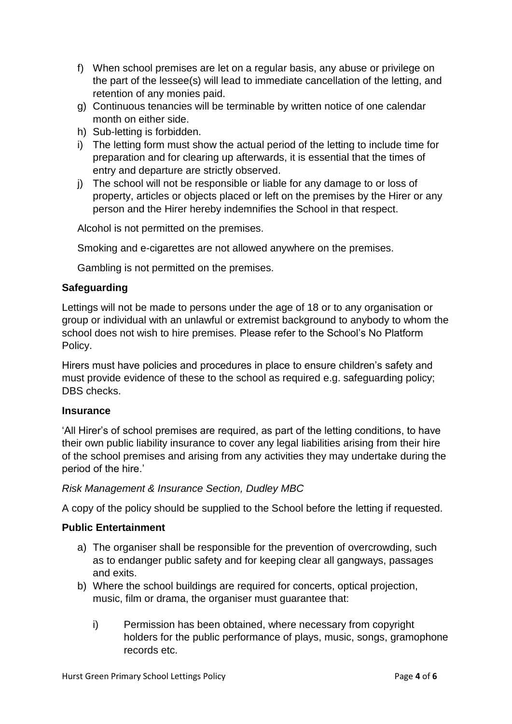- f) When school premises are let on a regular basis, any abuse or privilege on the part of the lessee(s) will lead to immediate cancellation of the letting, and retention of any monies paid.
- g) Continuous tenancies will be terminable by written notice of one calendar month on either side.
- h) Sub-letting is forbidden.
- i) The letting form must show the actual period of the letting to include time for preparation and for clearing up afterwards, it is essential that the times of entry and departure are strictly observed.
- j) The school will not be responsible or liable for any damage to or loss of property, articles or objects placed or left on the premises by the Hirer or any person and the Hirer hereby indemnifies the School in that respect.

Alcohol is not permitted on the premises.

Smoking and e-cigarettes are not allowed anywhere on the premises.

Gambling is not permitted on the premises.

# **Safeguarding**

Lettings will not be made to persons under the age of 18 or to any organisation or group or individual with an unlawful or extremist background to anybody to whom the school does not wish to hire premises. Please refer to the School's No Platform Policy.

Hirers must have policies and procedures in place to ensure children's safety and must provide evidence of these to the school as required e.g. safeguarding policy; DBS checks.

## **Insurance**

'All Hirer's of school premises are required, as part of the letting conditions, to have their own public liability insurance to cover any legal liabilities arising from their hire of the school premises and arising from any activities they may undertake during the period of the hire.'

## *Risk Management & Insurance Section, Dudley MBC*

A copy of the policy should be supplied to the School before the letting if requested.

## **Public Entertainment**

- a) The organiser shall be responsible for the prevention of overcrowding, such as to endanger public safety and for keeping clear all gangways, passages and exits.
- b) Where the school buildings are required for concerts, optical projection, music, film or drama, the organiser must quarantee that:
	- i) Permission has been obtained, where necessary from copyright holders for the public performance of plays, music, songs, gramophone records etc.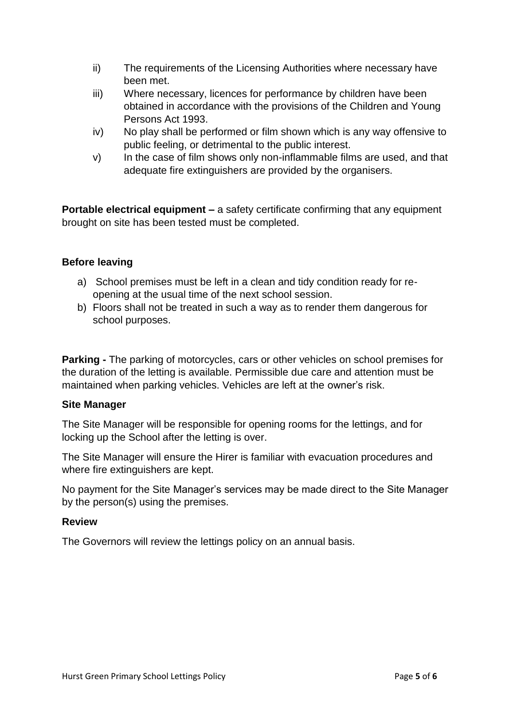- ii) The requirements of the Licensing Authorities where necessary have been met.
- iii) Where necessary, licences for performance by children have been obtained in accordance with the provisions of the Children and Young Persons Act 1993.
- iv) No play shall be performed or film shown which is any way offensive to public feeling, or detrimental to the public interest.
- v) In the case of film shows only non-inflammable films are used, and that adequate fire extinguishers are provided by the organisers.

**Portable electrical equipment –** a safety certificate confirming that any equipment brought on site has been tested must be completed.

# **Before leaving**

- a) School premises must be left in a clean and tidy condition ready for reopening at the usual time of the next school session.
- b) Floors shall not be treated in such a way as to render them dangerous for school purposes.

**Parking -** The parking of motorcycles, cars or other vehicles on school premises for the duration of the letting is available. Permissible due care and attention must be maintained when parking vehicles. Vehicles are left at the owner's risk.

## **Site Manager**

The Site Manager will be responsible for opening rooms for the lettings, and for locking up the School after the letting is over.

The Site Manager will ensure the Hirer is familiar with evacuation procedures and where fire extinguishers are kept.

No payment for the Site Manager's services may be made direct to the Site Manager by the person(s) using the premises.

## **Review**

The Governors will review the lettings policy on an annual basis.